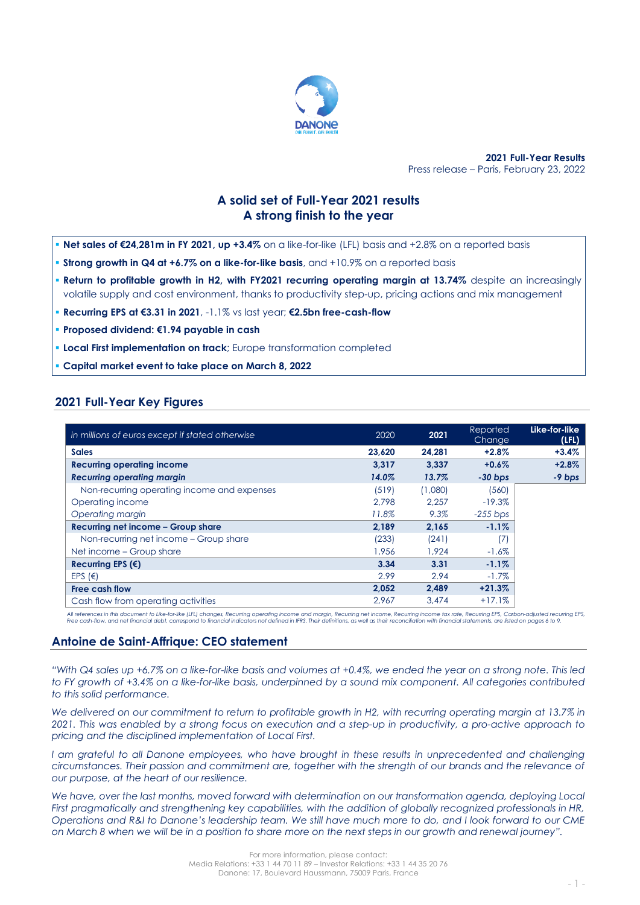

**2021 Full-Year Results** Press release – Paris, February 23, 2022

# **A solid set of Full-Year 2021 results A strong finish to the year**

- **Net sales of €24,281m in FY 2021, up +3.4%** on a like-for-like (LFL) basis and +2.8% on a reported basis
- **. Strong growth in Q4 at +6.7% on a like-for-like basis**, and +10.9% on a reported basis
- **Return to profitable growth in H2, with FY2021 recurring operating margin at 13.74%** despite an increasingly volatile supply and cost environment, thanks to productivity step-up, pricing actions and mix management
- **Recurring EPS at €3.31 in 2021**, -1.1% vs last year; **€2.5bn free-cash-flow**
- **Proposed dividend: €1.94 payable in cash**
- **Local First implementation on track**; Europe transformation completed
- **Capital market event to take place on March 8, 2022**

# **2021 Full-Year Key Figures**

| in millions of euros except if stated otherwise | 2020   | 2021    | Reported<br>Change | Like-for-like<br>(LFL) |
|-------------------------------------------------|--------|---------|--------------------|------------------------|
| <b>Sales</b>                                    | 23,620 | 24,281  | $+2.8\%$           | $+3.4%$                |
| <b>Recurring operating income</b>               | 3.317  | 3.337   | $+0.6\%$           | $+2.8%$                |
| Recurring operating margin                      | 14.0%  | 13.7%   | $-30$ bps          | -9 bps                 |
| Non-recurring operating income and expenses     | (519)  | (1,080) | (560)              |                        |
| Operating income                                | 2.798  | 2.257   | $-19.3%$           |                        |
| Operating margin                                | 11.8%  | 9.3%    | $-255$ bps         |                        |
| Recurring net income - Group share              | 2.189  | 2.165   | $-1.1%$            |                        |
| Non-recurring net income – Group share          | (233)  | (241)   | (7)                |                        |
| Net income – Group share                        | 1,956  | 1.924   | $-1.6\%$           |                        |
| Recurring EPS $(€)$                             | 3.34   | 3.31    | $-1.1%$            |                        |
| EPS $(\epsilon)$                                | 2.99   | 2.94    | $-1.7\%$           |                        |
| <b>Free cash flow</b>                           | 2,052  | 2.489   | $+21.3%$           |                        |
| Cash flow from operating activities             | 2.967  | 3.474   | $+17.1%$           |                        |

All references in this document to Like-for-like (LFL) changes, Recurring operating income and margin, Recurring net income, Recurring income tax rate, Recurring EPS, Carbon-adjusted recurring EPS,<br>Free cash-flow, and net

## **Antoine de Saint-Affrique: CEO statement**

*"With Q4 sales up +6.7% on a like-for-like basis and volumes at +0.4%, we ended the year on a strong note. This led to FY growth of +3.4% on a like-for-like basis, underpinned by a sound mix component. All categories contributed to this solid performance.*

*We delivered on our commitment to return to profitable growth in H2, with recurring operating margin at 13.7% in 2021. This was enabled by a strong focus on execution and a step-up in productivity, a pro-active approach to pricing and the disciplined implementation of Local First.* 

*I am grateful to all Danone employees, who have brought in these results in unprecedented and challenging circumstances. Their passion and commitment are, together with the strength of our brands and the relevance of our purpose, at the heart of our resilience.*

*We have, over the last months, moved forward with determination on our transformation agenda, deploying Local First pragmatically and strengthening key capabilities, with the addition of globally recognized professionals in HR, Operations and R&I to Danone's leadership team. We still have much more to do, and I look forward to our CME on March 8 when we will be in a position to share more on the next steps in our growth and renewal journey".*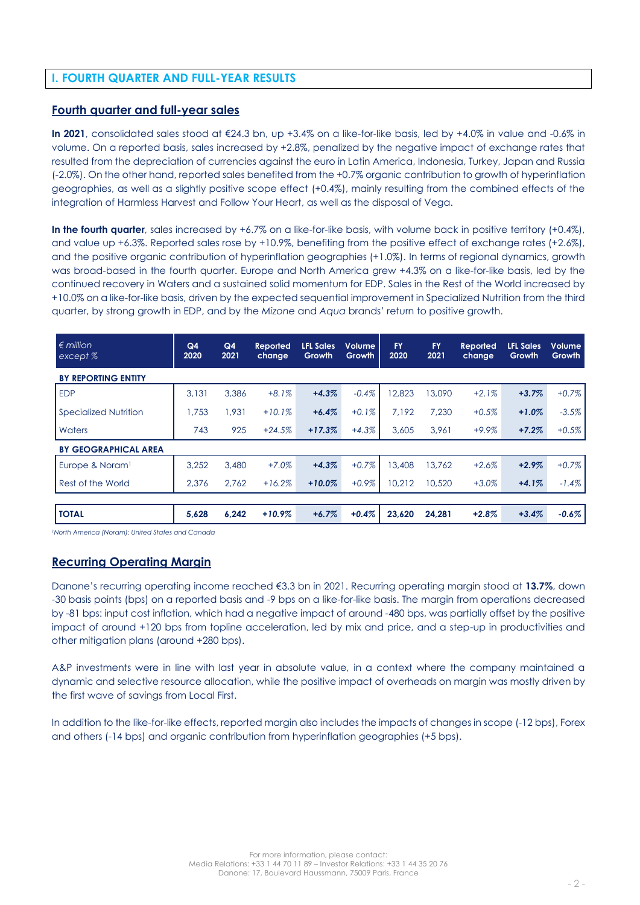# **I. FOURTH QUARTER AND FULL-YEAR RESULTS**

## **Fourth quarter and full-year sales**

**In 2021**, consolidated sales stood at €24.3 bn, up +3.4% on a like-for-like basis, led by +4.0% in value and -0.6% in volume. On a reported basis, sales increased by +2.8%, penalized by the negative impact of exchange rates that resulted from the depreciation of currencies against the euro in Latin America, Indonesia, Turkey, Japan and Russia (-2.0%). On the other hand, reported sales benefited from the +0.7% organic contribution to growth of hyperinflation geographies, as well as a slightly positive scope effect (+0.4%), mainly resulting from the combined effects of the integration of Harmless Harvest and Follow Your Heart, as well as the disposal of Vega.

**In the fourth quarter**, sales increased by +6.7% on a like-for-like basis, with volume back in positive territory (+0.4%), and value up +6.3%. Reported sales rose by +10.9%, benefiting from the positive effect of exchange rates (+2.6%), and the positive organic contribution of hyperinflation geographies (+1.0%). In terms of regional dynamics, growth was broad-based in the fourth quarter. Europe and North America grew +4.3% on a like-for-like basis, led by the continued recovery in Waters and a sustained solid momentum for EDP. Sales in the Rest of the World increased by +10.0% on a like-for-like basis, driven by the expected sequential improvement in Specialized Nutrition from the third quarter, by strong growth in EDP, and by the *Mizone* and *Aqua* brands' return to positive growth.

| $\n\in$ million<br>except %  | Q4<br>2020 | Q4<br>2021 | Reported<br>change | <b>LFL Sales</b><br>Growth | <b>Volume</b><br>Growth | <b>FY</b><br>2020 | <b>FY</b><br>2021 | <b>Reported</b><br>change | <b>LFL Sales</b><br>Growth | <b>Volume</b><br>Growth |
|------------------------------|------------|------------|--------------------|----------------------------|-------------------------|-------------------|-------------------|---------------------------|----------------------------|-------------------------|
| <b>BY REPORTING ENTITY</b>   |            |            |                    |                            |                         |                   |                   |                           |                            |                         |
| <b>EDP</b>                   | 3,131      | 3.386      | $+8.1%$            | $+4.3%$                    | $-0.4%$                 | 12,823            | 13,090            | $+2.1%$                   | $+3.7%$                    | $+0.7%$                 |
| <b>Specialized Nutrition</b> | 1.753      | 1.931      | $+10.1%$           | $+6.4%$                    | $+0.1%$                 | 7.192             | 7.230             | $+0.5%$                   | $+1.0%$                    | $-3.5%$                 |
| Waters                       | 743        | 925        | $+24.5%$           | $+17.3%$                   | $+4.3%$                 | 3,605             | 3.961             | $+9.9%$                   | $+7.2%$                    | $+0.5%$                 |
| <b>BY GEOGRAPHICAL AREA</b>  |            |            |                    |                            |                         |                   |                   |                           |                            |                         |
| Europe & Noram <sup>1</sup>  | 3,252      | 3,480      | $+7.0%$            | $+4.3%$                    | $+0.7%$                 | 13,408            | 13,762            | $+2.6%$                   | $+2.9%$                    | $+0.7%$                 |
| Rest of the World            | 2.376      | 2.762      | $+16.2%$           | $+10.0%$                   | $+0.9%$                 | 10.212            | 10,520            | $+3.0%$                   | $+4.1%$                    | $-1.4%$                 |
|                              |            |            |                    |                            |                         |                   |                   |                           |                            |                         |
| <b>TOTAL</b>                 | 5,628      | 6,242      | $+10.9%$           | $+6.7%$                    | $+0.4%$                 | 23,620            | 24,281            | $+2.8%$                   | $+3.4%$                    | $-0.6%$                 |

*<sup>1</sup>North America (Noram): United States and Canada*

## **Recurring Operating Margin**

Danone's recurring operating income reached €3.3 bn in 2021. Recurring operating margin stood at **13.7%**, down -30 basis points (bps) on a reported basis and -9 bps on a like-for-like basis. The margin from operations decreased by -81 bps: input cost inflation, which had a negative impact of around -480 bps, was partially offset by the positive impact of around +120 bps from topline acceleration, led by mix and price, and a step-up in productivities and other mitigation plans (around +280 bps).

A&P investments were in line with last year in absolute value, in a context where the company maintained a dynamic and selective resource allocation, while the positive impact of overheads on margin was mostly driven by the first wave of savings from Local First.

In addition to the like-for-like effects, reported margin also includes the impacts of changes in scope (-12 bps), Forex and others (-14 bps) and organic contribution from hyperinflation geographies (+5 bps).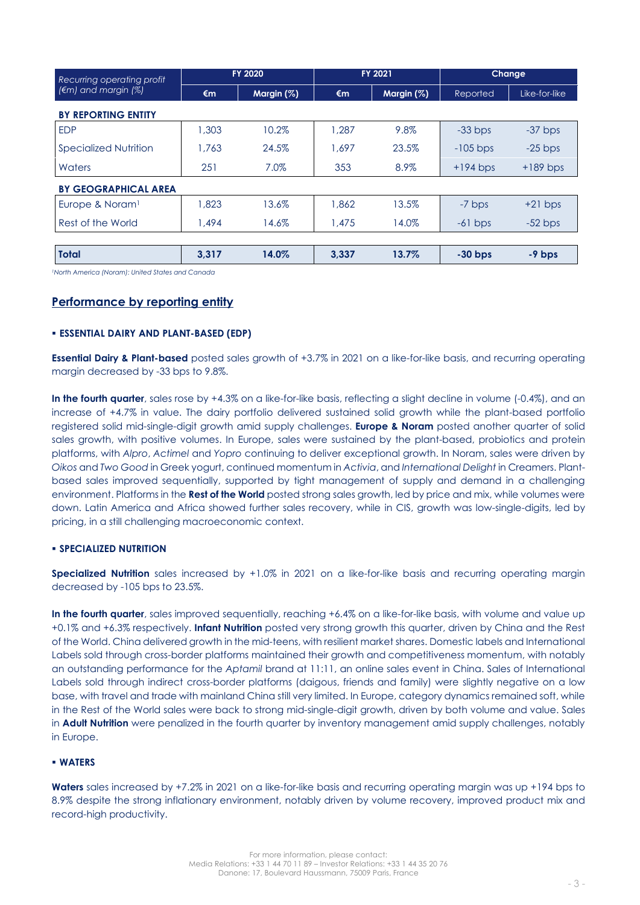| Recurring operating profit       |              | <b>FY 2020</b> | <b>FY 2021</b> |               |            | <b>Change</b> |
|----------------------------------|--------------|----------------|----------------|---------------|------------|---------------|
| $(\epsilon m)$ and margin $(\%)$ | $\epsilon$ m | Margin $(\%)$  | €m             | Margin $(\%)$ | Reported   | Like-for-like |
| <b>BY REPORTING ENTITY</b>       |              |                |                |               |            |               |
| <b>EDP</b>                       | 1,303        | 10.2%          | 1.287          | 9.8%          | $-33$ bps  | $-37$ bps     |
| <b>Specialized Nutrition</b>     | 1.763        | 24.5%          | 1.697          | 23.5%         | $-105$ bps | $-25$ bps     |
| Waters                           | 251          | 7.0%           | 353            | 8.9%          | $+194$ bps | $+189$ bps    |
| <b>BY GEOGRAPHICAL AREA</b>      |              |                |                |               |            |               |
| Europe & Noram <sup>1</sup>      | 1,823        | 13.6%          | 1.862          | 13.5%         | -7 bps     | $+21$ bps     |
| Rest of the World                | 1.494        | 14.6%          | 1,475          | 14.0%         | $-61$ bps  | $-52$ bps     |
|                                  |              |                |                |               |            |               |
| <b>Total</b>                     | 3,317        | 14.0%          | 3,337          | 13.7%         | $-30$ bps  | -9 bps        |

*<sup>1</sup>North America (Noram): United States and Canada*

## **Performance by reporting entity**

#### ▪ **ESSENTIAL DAIRY AND PLANT-BASED (EDP)**

**Essential Dairy & Plant-based** posted sales growth of +3.7% in 2021 on a like-for-like basis, and recurring operating margin decreased by -33 bps to 9.8%.

**In the fourth quarter**, sales rose by +4.3% on a like-for-like basis, reflecting a slight decline in volume (-0.4%), and an increase of +4.7% in value. The dairy portfolio delivered sustained solid growth while the plant-based portfolio registered solid mid-single-digit growth amid supply challenges. **Europe & Noram** posted another quarter of solid sales growth, with positive volumes. In Europe, sales were sustained by the plant-based, probiotics and protein platforms, with *Alpro*, *Actimel* and *Yopro* continuing to deliver exceptional growth. In Noram, sales were driven by *Oikos* and *Two Good* in Greek yogurt, continued momentum in *Activia*, and *International Delight* in Creamers. Plantbased sales improved sequentially, supported by tight management of supply and demand in a challenging environment. Platforms in the **Rest of the World** posted strong sales growth, led by price and mix, while volumes were down. Latin America and Africa showed further sales recovery, while in CIS, growth was low-single-digits, led by pricing, in a still challenging macroeconomic context.

### ▪ **SPECIALIZED NUTRITION**

**Specialized Nutrition** sales increased by +1.0% in 2021 on a like-for-like basis and recurring operating margin decreased by -105 bps to 23.5%.

**In the fourth quarter**, sales improved sequentially, reaching +6.4% on a like-for-like basis, with volume and value up +0.1% and +6.3% respectively. **Infant Nutrition** posted very strong growth this quarter, driven by China and the Rest of the World. China delivered growth in the mid-teens, with resilient market shares. Domestic labels and International Labels sold through cross-border platforms maintained their growth and competitiveness momentum, with notably an outstanding performance for the *Aptamil* brand at 11:11, an online sales event in China. Sales of International Labels sold through indirect cross-border platforms (daigous, friends and family) were slightly negative on a low base, with travel and trade with mainland China still very limited. In Europe, category dynamics remained soft, while in the Rest of the World sales were back to strong mid-single-digit growth, driven by both volume and value. Sales in **Adult Nutrition** were penalized in the fourth quarter by inventory management amid supply challenges, notably in Europe.

#### ▪ **WATERS**

**Waters** sales increased by +7.2% in 2021 on a like-for-like basis and recurring operating margin was up +194 bps to 8.9% despite the strong inflationary environment, notably driven by volume recovery, improved product mix and record-high productivity.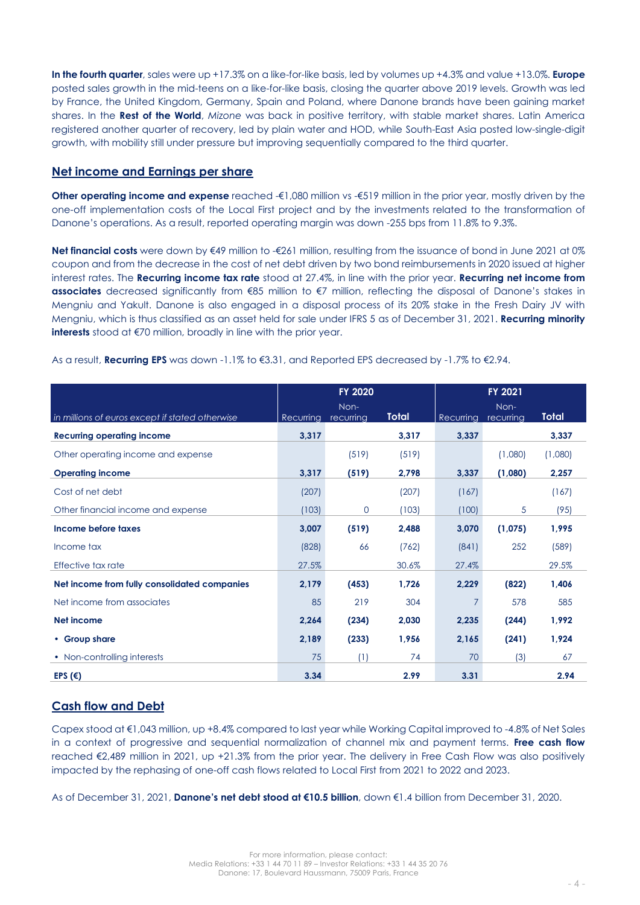**In the fourth quarter**, sales were up +17.3% on a like-for-like basis, led by volumes up +4.3% and value +13.0%. **Europe** posted sales growth in the mid-teens on a like-for-like basis, closing the quarter above 2019 levels. Growth was led by France, the United Kingdom, Germany, Spain and Poland, where Danone brands have been gaining market shares. In the **Rest of the World**, *Mizone* was back in positive territory, with stable market shares. Latin America registered another quarter of recovery, led by plain water and HOD, while South-East Asia posted low-single-digit growth, with mobility still under pressure but improving sequentially compared to the third quarter.

### **Net income and Earnings per share**

**Other operating income and expense** reached -€1,080 million vs -€519 million in the prior year, mostly driven by the one-off implementation costs of the Local First project and by the investments related to the transformation of Danone's operations. As a result, reported operating margin was down -255 bps from 11.8% to 9.3%.

**Net financial costs** were down by €49 million to -€261 million, resulting from the issuance of bond in June 2021 at 0% coupon and from the decrease in the cost of net debt driven by two bond reimbursements in 2020 issued at higher interest rates. The **Recurring income tax rate** stood at 27.4%, in line with the prior year. **Recurring net income from associates** decreased significantly from €85 million to €7 million, reflecting the disposal of Danone's stakes in Mengniu and Yakult. Danone is also engaged in a disposal process of its 20% stake in the Fresh Dairy JV with Mengniu, which is thus classified as an asset held for sale under IFRS 5 as of December 31, 2021. **Recurring minority interests** stood at €70 million, broadly in line with the prior year.

|                                                 |           | FY 2020           |       | FY 2021   |                   |         |  |
|-------------------------------------------------|-----------|-------------------|-------|-----------|-------------------|---------|--|
| in millions of euros except if stated otherwise | Recurring | Non-<br>recurring | Total | Recurring | Non-<br>recurring | Total   |  |
| <b>Recurring operating income</b>               | 3,317     |                   | 3,317 | 3,337     |                   | 3,337   |  |
| Other operating income and expense              |           | (519)             | (519) |           | (1,080)           | (1,080) |  |
| <b>Operating income</b>                         | 3,317     | (519)             | 2,798 | 3,337     | (1,080)           | 2,257   |  |
| Cost of net debt                                | (207)     |                   | (207) | (167)     |                   | (167)   |  |
| Other financial income and expense              | (103)     | $\mathbf{O}$      | (103) | (100)     | $\sqrt{5}$        | (95)    |  |
| Income before taxes                             | 3,007     | (519)             | 2,488 | 3,070     | (1,075)           | 1,995   |  |
| Income tax                                      | (828)     | 66                | (762) | (841)     | 252               | (589)   |  |
| Effective tax rate                              | 27.5%     |                   | 30.6% | 27.4%     |                   | 29.5%   |  |
| Net income from fully consolidated companies    | 2,179     | (453)             | 1,726 | 2,229     | (822)             | 1,406   |  |
| Net income from associates                      | 85        | 219               | 304   | 7         | 578               | 585     |  |
| <b>Net income</b>                               | 2,264     | (234)             | 2,030 | 2,235     | (244)             | 1,992   |  |
| • Group share                                   | 2,189     | (233)             | 1,956 | 2,165     | (241)             | 1,924   |  |
| • Non-controlling interests                     | 75        | (1)               | 74    | 70        | (3)               | 67      |  |
| EPS $(6)$                                       | 3.34      |                   | 2.99  | 3.31      |                   | 2.94    |  |

As a result, **Recurring EPS** was down -1.1% to €3.31, and Reported EPS decreased by -1.7% to €2.94.

## **Cash flow and Debt**

Capex stood at €1,043 million, up +8.4% compared to last year while Working Capital improved to -4.8% of Net Sales in a context of progressive and sequential normalization of channel mix and payment terms. **Free cash flow** reached €2,489 million in 2021, up +21.3% from the prior year. The delivery in Free Cash Flow was also positively impacted by the rephasing of one-off cash flows related to Local First from 2021 to 2022 and 2023.

As of December 31, 2021, **Danone's net debt stood at €10.5 billion**, down €1.4 billion from December 31, 2020.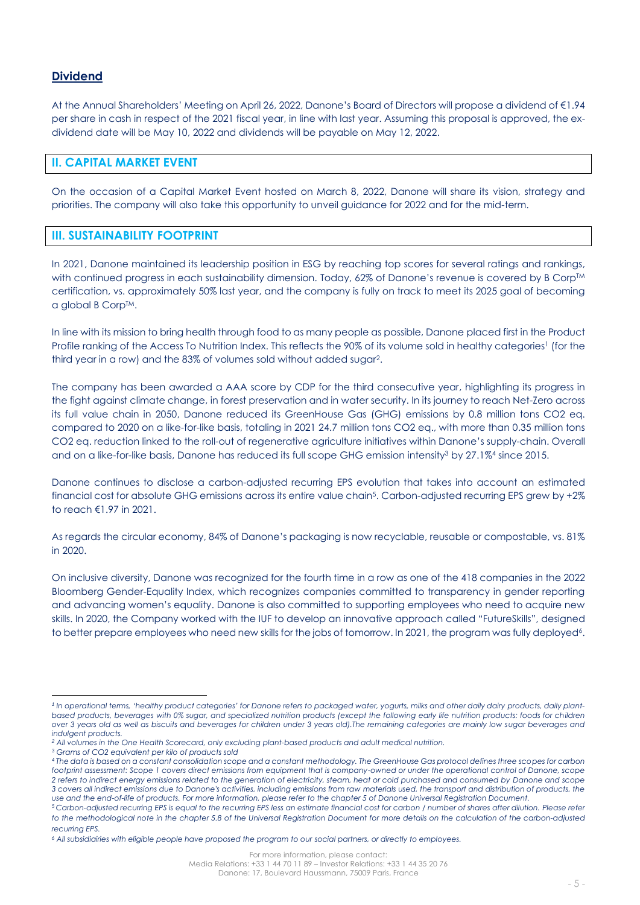## **Dividend**

At the Annual Shareholders' Meeting on April 26, 2022, Danone's Board of Directors will propose a dividend of €1.94 per share in cash in respect of the 2021 fiscal year, in line with last year. Assuming this proposal is approved, the exdividend date will be May 10, 2022 and dividends will be payable on May 12, 2022.

### **II. CAPITAL MARKET EVENT**

On the occasion of a Capital Market Event hosted on March 8, 2022, Danone will share its vision, strategy and priorities. The company will also take this opportunity to unveil guidance for 2022 and for the mid-term.

### **III. SUSTAINABILITY FOOTPRINT**

In 2021, Danone maintained its leadership position in ESG by reaching top scores for several ratings and rankings, with continued progress in each sustainability dimension. Today, 62% of Danone's revenue is covered by B Corp™ certification, vs. approximately 50% last year, and the company is fully on track to meet its 2025 goal of becoming a global B Corp™.

In line with its mission to bring health through food to as many people as possible, Danone placed first in the Product Profile ranking of the Access To Nutrition Index. This reflects the 90% of its volume sold in healthy categories<sup>1</sup> (for the third year in a row) and the 83% of volumes sold without added sugar<sup>2</sup> .

The company has been awarded a AAA score by CDP for the third consecutive year, highlighting its progress in the fight against climate change, in forest preservation and in water security. In its journey to reach Net-Zero across its full value chain in 2050, Danone reduced its GreenHouse Gas (GHG) emissions by 0.8 million tons CO2 eq. compared to 2020 on a like-for-like basis, totaling in 2021 24.7 million tons CO2 eq., with more than 0.35 million tons CO2 eq. reduction linked to the roll-out of regenerative agriculture initiatives within Danone's supply-chain. Overall and on a like-for-like basis, Danone has reduced its full scope GHG emission intensity<sup>3</sup> by 27.1%<sup>4</sup> since 2015.

Danone continues to disclose a carbon-adjusted recurring EPS evolution that takes into account an estimated financial cost for absolute GHG emissions across its entire value chain<sup>5</sup>. Carbon-adjusted recurring EPS grew by +2% to reach €1.97 in 2021.

As regards the circular economy, 84% of Danone's packaging is now recyclable, reusable or compostable, vs. 81% in 2020.

On inclusive diversity, Danone was recognized for the fourth time in a row as one of the 418 companies in the 2022 Bloomberg Gender-Equality Index, which recognizes companies committed to transparency in gender reporting and advancing women's equality. Danone is also committed to supporting employees who need to acquire new skills. In 2020, the Company worked with the IUF to develop an innovative approach called "FutureSkills", designed to better prepare employees who need new skills for the jobs of tomorrow. In 2021, the program was fully deployed<sup>s</sup>.

<sup>&</sup>lt;sup>1</sup> In operational terms, 'healthy product categories' for Danone refers to packaged water, yogurts, milks and other daily dairy products, daily plantbased products, beverages with 0% sugar, and specialized nutrition products (except the following early life nutrition products: foods for children *over 3 years old as well as biscuits and beverages for children under 3 years old).The remaining categories are mainly low sugar beverages and indulgent products.*

*<sup>2</sup> All volumes in the One Health Scorecard, only excluding plant-based products and adult medical nutrition.*

<sup>3</sup> *Grams of CO2 equivalent per kilo of products sold*

<sup>4</sup> *The data is based on a constant consolidation scope and a constant methodology. The GreenHouse Gas protocol defines three scopes for carbon*  footprint assessment: Scope 1 covers direct emissions from equipment that is company-owned or under the operational control of Danone, scope *2 refers to indirect energy emissions related to the generation of electricity, steam, heat or cold purchased and consumed by Danone and scope 3 covers all indirect emissions due to Danone's activities, including emissions from raw materials used, the transport and distribution of products, the use and the end-of-life of products. For more information, please refer to the chapter 5 of Danone Universal Registration Document.*

<sup>5</sup> *Carbon-adjusted recurring EPS is equal to the recurring EPS less an estimate financial cost for carbon / number of shares after dilution. Please refer to the methodological note in the chapter 5.8 of the Universal Registration Document for more details on the calculation of the carbon-adjusted recurring EPS.*

*<sup>6</sup> All subsidiairies with eligible people have proposed the program to our social partners, or directly to employees.*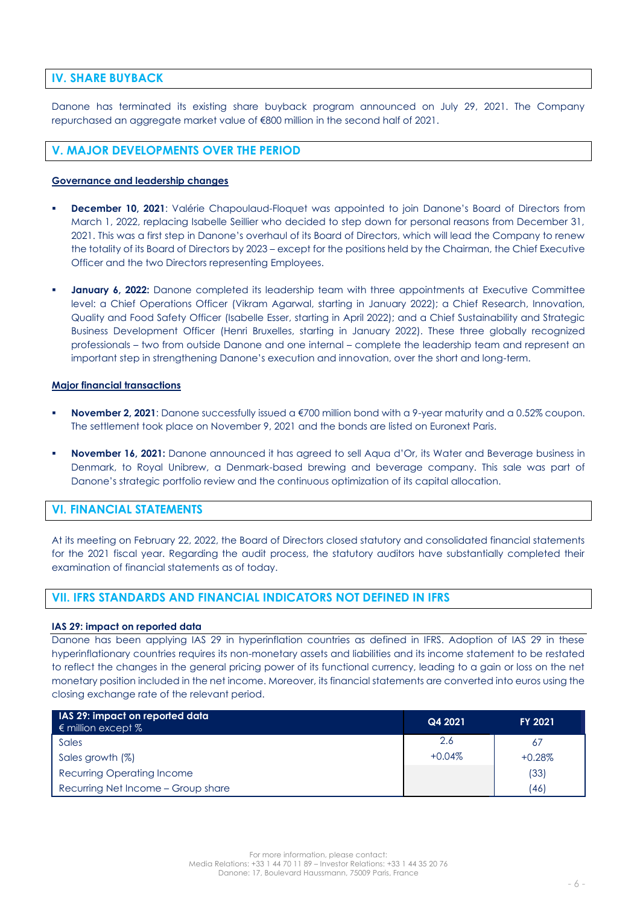## **IV. SHARE BUYBACK**

Danone has terminated its existing share buyback program announced on July 29, 2021. The Company repurchased an aggregate market value of €800 million in the second half of 2021.

## **V. MAJOR DEVELOPMENTS OVER THE PERIOD**

### **Governance and leadership changes**

- **December 10, 2021:** Valérie Chapoulaud-Floquet was appointed to join Danone's Board of Directors from March 1, 2022, replacing Isabelle Seillier who decided to step down for personal reasons from December 31, 2021. This was a first step in Danone's overhaul of its Board of Directors, which will lead the Company to renew the totality of its Board of Directors by 2023 – except for the positions held by the Chairman, the Chief Executive Officer and the two Directors representing Employees.
- **January 6, 2022:** Danone completed its leadership team with three appointments at Executive Committee level: a Chief Operations Officer (Vikram Agarwal, starting in January 2022); a Chief Research, Innovation, Quality and Food Safety Officer (Isabelle Esser, starting in April 2022); and a Chief Sustainability and Strategic Business Development Officer (Henri Bruxelles, starting in January 2022). These three globally recognized professionals – two from outside Danone and one internal – complete the leadership team and represent an important step in strengthening Danone's execution and innovation, over the short and long-term.

#### **Major financial transactions**

- **November 2, 2021:** Danone successfully issued a €700 million bond with a 9-year maturity and a 0.52% coupon. The settlement took place on November 9, 2021 and the bonds are listed on Euronext Paris.
- **November 16, 2021:** Danone announced it has agreed to sell Aqua d'Or, its Water and Beverage business in Denmark, to Royal Unibrew, a Denmark-based brewing and beverage company. This sale was part of Danone's strategic portfolio review and the continuous optimization of its capital allocation.

## **VI. FINANCIAL STATEMENTS**

At its meeting on February 22, 2022, the Board of Directors closed statutory and consolidated financial statements for the 2021 fiscal year. Regarding the audit process, the statutory auditors have substantially completed their examination of financial statements as of today.

## **VII. IFRS STANDARDS AND FINANCIAL INDICATORS NOT DEFINED IN IFRS**

#### **IAS 29: impact on reported data**

Danone has been applying IAS 29 in hyperinflation countries as defined in IFRS. Adoption of IAS 29 in these hyperinflationary countries requires its non-monetary assets and liabilities and its income statement to be restated to reflect the changes in the general pricing power of its functional currency, leading to a gain or loss on the net monetary position included in the net income. Moreover, its financial statements are converted into euros using the closing exchange rate of the relevant period.

| IAS 29: impact on reported data<br>$\epsilon$ million except % | Q4 2021  | FY 2021  |
|----------------------------------------------------------------|----------|----------|
| Sales                                                          | 2.6      | -67      |
| Sales growth (%)                                               | $+0.04%$ | $+0.28%$ |
| <b>Recurring Operating Income</b>                              |          | (33)     |
| Recurring Net Income - Group share                             |          | (46)     |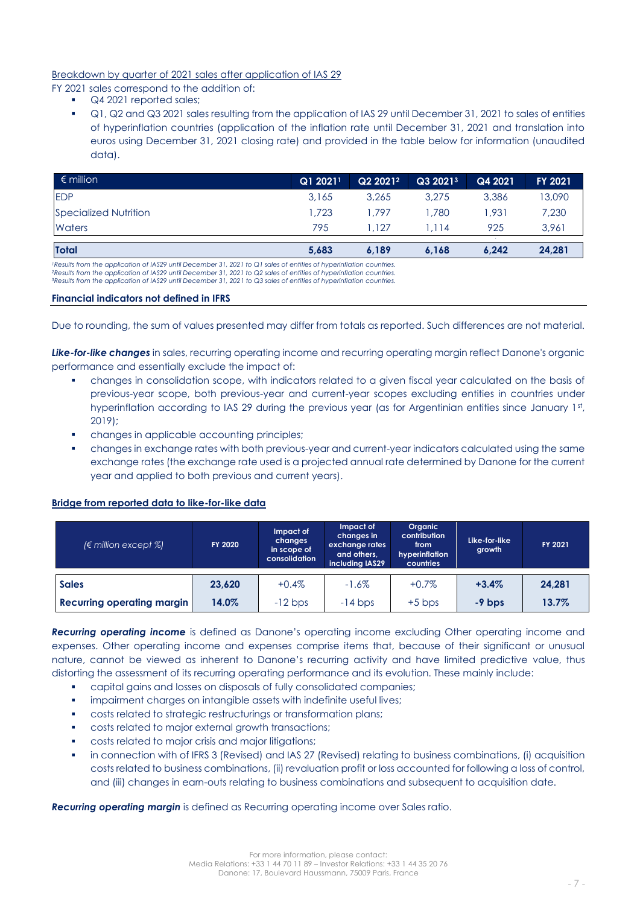### Breakdown by quarter of 2021 sales after application of IAS 29

FY 2021 sales correspond to the addition of:

- Q4 2021 reported sales;
- Q1, Q2 and Q3 2021 sales resulting from the application of IAS 29 until December 31, 2021 to sales of entities of hyperinflation countries (application of the inflation rate until December 31, 2021 and translation into euros using December 31, 2021 closing rate) and provided in the table below for information (unaudited data).

| $\epsilon$ million    | $Q12021$ <sup>1</sup> | Q2 2021 <sup>2</sup> | Q3 2021 <sup>3</sup> | Q4 2021 | <b>FY 2021</b> |
|-----------------------|-----------------------|----------------------|----------------------|---------|----------------|
| <b>EDP</b>            | 3.165                 | 3.265                | 3.275                | 3.386   | 13,090         |
| Specialized Nutrition | .723                  | 1.797                | 1.780                | 1.931   | 7,230          |
| Waters                | 795                   | 1.127                | I.II4                | 925     | 3,961          |
| <b>Total</b>          | 5,683                 | 6,189                | 6,168                | 6.242   | 24,281         |

1Results from the application of IAS29 until December 31, 2021 to Q1 sales of entities of hyperinflation countries.<br>?Results from the application of IAS29 until December 31, 2021 to Q2 sales of entities of hyperinflation c

*<sup>3</sup>Results from the application of IAS29 until December 31, 2021 to Q3 sales of entities of hyperinflation countries.*

### **Financial indicators not defined in IFRS**

Due to rounding, the sum of values presented may differ from totals as reported. Such differences are not material.

*Like-for-like changes* in sales, recurring operating income and recurring operating margin reflect Danone's organic performance and essentially exclude the impact of:

- changes in consolidation scope, with indicators related to a given fiscal year calculated on the basis of previous-year scope, both previous-year and current-year scopes excluding entities in countries under hyperinflation according to IAS 29 during the previous year (as for Argentinian entities since January 1st, 2019);
- changes in applicable accounting principles;
- changes in exchange rates with both previous-year and current-year indicators calculated using the same exchange rates (the exchange rate used is a projected annual rate determined by Danone for the current year and applied to both previous and current years).

### **Bridge from reported data to like-for-like data**

| ( $\epsilon$ million except %)    | <b>FY 2020</b> | Impact of<br>changes<br>in scope of<br>consolidation | Impact of<br>changes in<br>exchange rates<br>and others.<br>including IAS29 | Organic<br>contribution<br>from<br>hyperinflation<br>countries | Like-for-like<br>growth | FY 2021 |
|-----------------------------------|----------------|------------------------------------------------------|-----------------------------------------------------------------------------|----------------------------------------------------------------|-------------------------|---------|
| <b>Sales</b>                      | 23,620         | $+0.4%$                                              | $-1.6\%$                                                                    | $+0.7%$                                                        | $+3.4%$                 | 24,281  |
| <b>Recurring operating margin</b> | 14.0%          | $-12$ bps                                            | $-14$ bps                                                                   | $+5$ bps                                                       | $-9$ bps                | 13.7%   |

*Recurring operating income* is defined as Danone's operating income excluding Other operating income and expenses. Other operating income and expenses comprise items that, because of their significant or unusual nature, cannot be viewed as inherent to Danone's recurring activity and have limited predictive value, thus distorting the assessment of its recurring operating performance and its evolution. These mainly include:

- capital gains and losses on disposals of fully consolidated companies;
- impairment charges on intangible assets with indefinite useful lives;
- costs related to strategic restructurings or transformation plans;
- costs related to major external growth transactions;
- costs related to major crisis and major litigations;
- in connection with of IFRS 3 (Revised) and IAS 27 (Revised) relating to business combinations, (i) acquisition costs related to business combinations, (ii) revaluation profit or loss accounted for following a loss of control, and (iii) changes in earn-outs relating to business combinations and subsequent to acquisition date.

*Recurring operating margin* is defined as Recurring operating income over Sales ratio.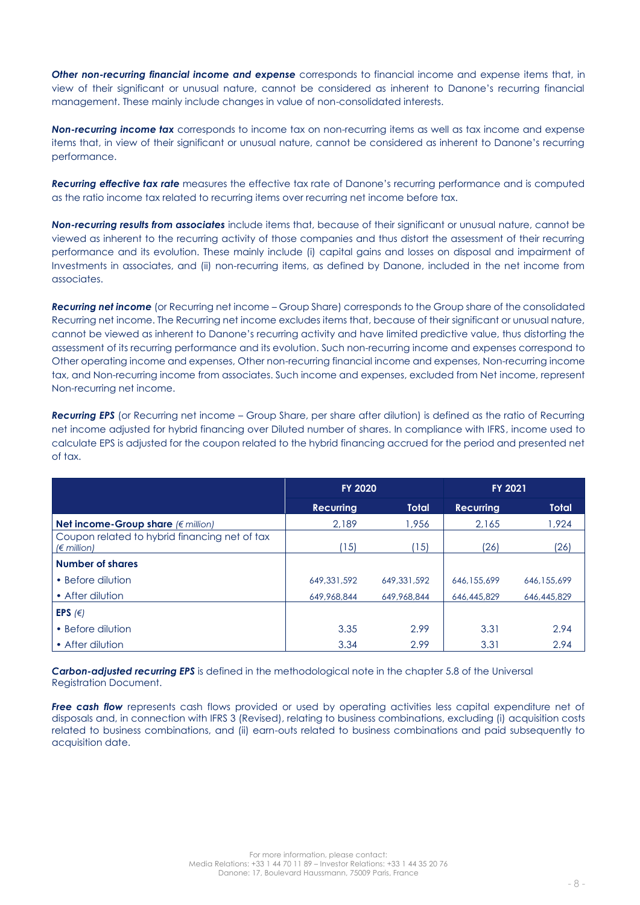*Other non-recurring financial income and expense* corresponds to financial income and expense items that, in view of their significant or unusual nature, cannot be considered as inherent to Danone's recurring financial management. These mainly include changes in value of non-consolidated interests.

*Non-recurring income tax* corresponds to income tax on non-recurring items as well as tax income and expense items that, in view of their significant or unusual nature, cannot be considered as inherent to Danone's recurring performance.

*Recurring effective tax rate* measures the effective tax rate of Danone's recurring performance and is computed as the ratio income tax related to recurring items over recurring net income before tax.

*Non-recurring results from associates* include items that, because of their significant or unusual nature, cannot be viewed as inherent to the recurring activity of those companies and thus distort the assessment of their recurring performance and its evolution. These mainly include (i) capital gains and losses on disposal and impairment of Investments in associates, and (ii) non-recurring items, as defined by Danone, included in the net income from associates.

*Recurring net income* (or Recurring net income – Group Share) corresponds to the Group share of the consolidated Recurring net income. The Recurring net income excludes items that, because of their significant or unusual nature, cannot be viewed as inherent to Danone's recurring activity and have limited predictive value, thus distorting the assessment of its recurring performance and its evolution. Such non-recurring income and expenses correspond to Other operating income and expenses, Other non-recurring financial income and expenses, Non-recurring income tax, and Non-recurring income from associates. Such income and expenses, excluded from Net income, represent Non-recurring net income.

*Recurring EPS* (or Recurring net income – Group Share, per share after dilution) is defined as the ratio of Recurring net income adjusted for hybrid financing over Diluted number of shares. In compliance with IFRS, income used to calculate EPS is adjusted for the coupon related to the hybrid financing accrued for the period and presented net of tax.

|                                                                       | FY 2020          |              | FY 2021          |              |
|-----------------------------------------------------------------------|------------------|--------------|------------------|--------------|
|                                                                       | <b>Recurring</b> | <b>Total</b> | <b>Recurring</b> | <b>Total</b> |
| Net income-Group share $(\epsilon \text{ million})$                   | 2.189            | 1.956        | 2.165            | 1.924        |
| Coupon related to hybrid financing net of tax<br>$(\epsilon$ million) | 15)              | 15)          | (26)             | (26)         |
| <b>Number of shares</b>                                               |                  |              |                  |              |
| • Before dilution                                                     | 649, 331, 592    | 649.331.592  | 646.155.699      | 646.155.699  |
| • After dilution                                                      | 649,968,844      | 649.968.844  | 646,445,829      | 646,445,829  |
| EPS $(\in)$                                                           |                  |              |                  |              |
| • Before dilution                                                     | 3.35             | 2.99         | 3.31             | 2.94         |
| • After dilution                                                      | 3.34             | 2.99         | 3.31             | 2.94         |

*Carbon-adjusted recurring EPS* is defined in the methodological note in the chapter 5.8 of the Universal Registration Document.

**Free cash flow** represents cash flows provided or used by operating activities less capital expenditure net of disposals and, in connection with IFRS 3 (Revised), relating to business combinations, excluding (i) acquisition costs related to business combinations, and (ii) earn-outs related to business combinations and paid subsequently to acquisition date.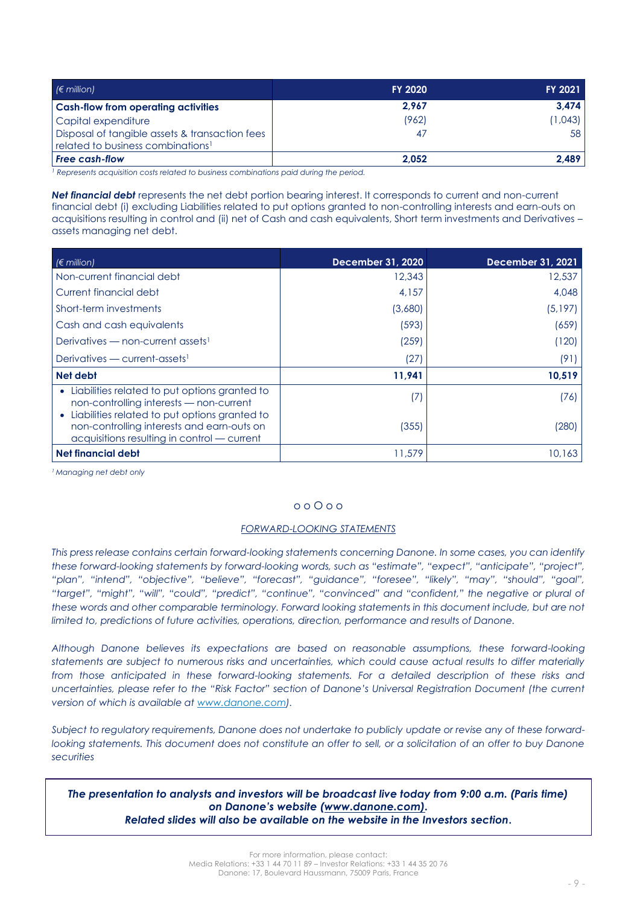| $(6 \text{ million})$                                                                           | <b>FY 2020</b> | FY 2021 |
|-------------------------------------------------------------------------------------------------|----------------|---------|
| <b>Cash-flow from operating activities</b>                                                      | 2.967          | 3.474   |
| Capital expenditure                                                                             | (962)          | (1,043) |
| Disposal of tangible assets & transaction fees<br>related to business combinations <sup>1</sup> | 47             | 58      |
| <b>Free cash-flow</b>                                                                           | 2.052          | 2.489   |

<sup>1</sup> Represents acquisition costs related to business combinations paid during the period.

*Net financial debt* represents the net debt portion bearing interest. It corresponds to current and non-current financial debt (i) excluding Liabilities related to put options granted to non-controlling interests and earn-outs on acquisitions resulting in control and (ii) net of Cash and cash equivalents, Short term investments and Derivatives – assets managing net debt.

| $\in$ million)                                                                                                                               | December 31, 2020 | December 31, 2021 |
|----------------------------------------------------------------------------------------------------------------------------------------------|-------------------|-------------------|
| Non-current financial debt                                                                                                                   | 12,343            | 12,537            |
| l Current financial debt                                                                                                                     | 4,157             | 4,048             |
| Short-term investments                                                                                                                       | (3,680)           | (5,197)           |
| Cash and cash equivalents                                                                                                                    | (593)             | (659)             |
| Derivatives — non-current assets <sup>1</sup>                                                                                                | (259)             | (120)             |
| Derivatives — current-assets <sup>1</sup>                                                                                                    | (27)              | (91)              |
| Net debt                                                                                                                                     | 11,941            | 10,519            |
| • Liabilities related to put options granted to<br>non-controlling interests - non-current                                                   | (7)               | (76)              |
| • Liabilities related to put options granted to<br>non-controlling interests and earn-outs on<br>acquisitions resulting in control - current | (355)             | (280)             |
| Net financial debt                                                                                                                           | 11,579            | 10,163            |

*<sup>1</sup> Managing net debt only*

### o o O o o

#### *FORWARD-LOOKING STATEMENTS*

*This press release contains certain forward-looking statements concerning Danone. In some cases, you can identify these forward-looking statements by forward-looking words, such as "estimate", "expect", "anticipate", "project", "plan", "intend", "objective", "believe", "forecast", "guidance", "foresee", "likely", "may", "should", "goal", "target", "might", "will", "could", "predict", "continue", "convinced" and "confident," the negative or plural of these words and other comparable terminology. Forward looking statements in this document include, but are not limited to, predictions of future activities, operations, direction, performance and results of Danone.* 

*Although Danone believes its expectations are based on reasonable assumptions, these forward-looking statements are subject to numerous risks and uncertainties, which could cause actual results to differ materially from those anticipated in these forward-looking statements. For a detailed description of these risks and uncertainties, please refer to the "Risk Factor" section of Danone's Universal Registration Document (the current version of which is available at [www.danone.com\)](http://www.danone.com/).* 

*Subject to regulatory requirements, Danone does not undertake to publicly update or revise any of these forwardlooking statements. This document does not constitute an offer to sell, or a solicitation of an offer to buy Danone securities*

*The presentation to analysts and investors will be broadcast live today from 9:00 a.m. (Paris time) on Danone's website ([www.danone.com\)](http://www.danone.com/). Related slides will also be available on the website in the Investors section***.**